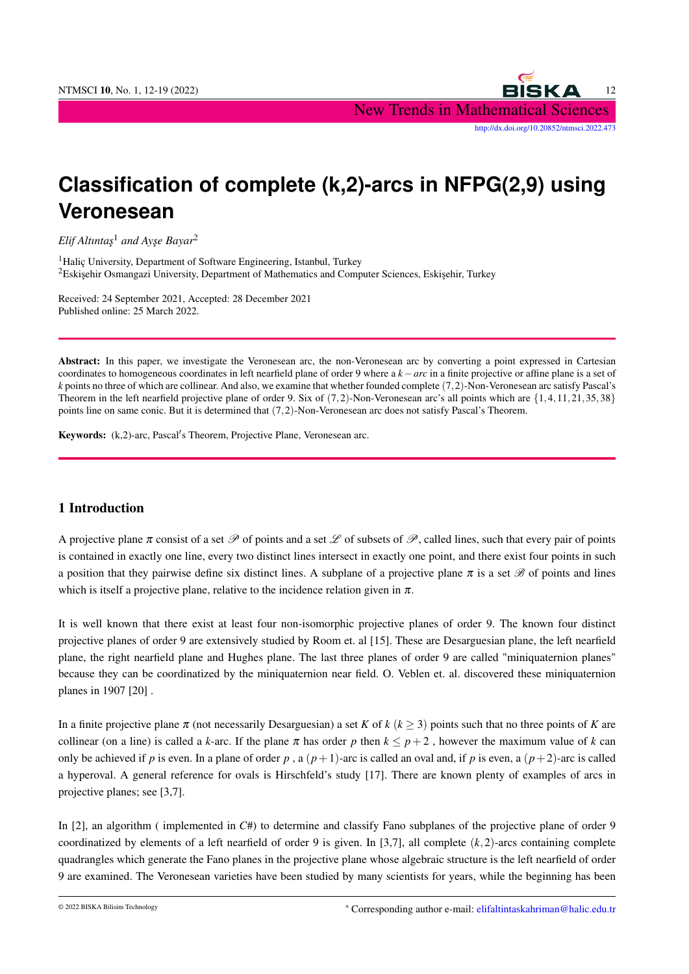NTMSCI 10, No. 1, 12-19 (2022) 22 New Trends in Mathematical Sciences [http://dx.doi.org/10.20852/ntmsci.2022.473]( http://dx.doi.org/10.20852/ntmsci.2022.473)

# **Classification of complete (k,2)-arcs in NFPG(2,9) using Veronesean**

*Elif Altıntas<sup>1</sup> and Ayse Bayar<sup>2</sup>* 

<sup>1</sup>Halic University, Department of Software Engineering, Istanbul, Turkey <sup>2</sup>Eskişehir Osmangazi University, Department of Mathematics and Computer Sciences, Eskişehir, Turkey

Received: 24 September 2021, Accepted: 28 December 2021 Published online: 25 March 2022.

Abstract: In this paper, we investigate the Veronesean arc, the non-Veronesean arc by converting a point expressed in Cartesian coordinates to homogeneous coordinates in left nearfield plane of order 9 where a *k*−*arc* in a finite projective or affine plane is a set of *k* points no three of which are collinear. And also, we examine that whether founded complete (7,2)-Non-Veronesean arc satisfy Pascal's Theorem in the left nearfield projective plane of order 9. Six of (7,2)-Non-Veronesean arc's all points which are {1,4,11,21,35,38} points line on same conic. But it is determined that (7,2)-Non-Veronesean arc does not satisfy Pascal's Theorem.

Keywords: (k,2)-arc, Pascal's Theorem, Projective Plane, Veronesean arc.

## 1 Introduction

A projective plane  $\pi$  consist of a set  $\mathscr P$  of points and a set  $\mathscr L$  of subsets of  $\mathscr P$ , called lines, such that every pair of points is contained in exactly one line, every two distinct lines intersect in exactly one point, and there exist four points in such a position that they pairwise define six distinct lines. A subplane of a projective plane  $\pi$  is a set  $\mathscr B$  of points and lines which is itself a projective plane, relative to the incidence relation given in  $\pi$ .

It is well known that there exist at least four non-isomorphic projective planes of order 9. The known four distinct projective planes of order 9 are extensively studied by Room et. al [15]. These are Desarguesian plane, the left nearfield plane, the right nearfield plane and Hughes plane. The last three planes of order 9 are called "miniquaternion planes" because they can be coordinatized by the miniquaternion near field. O. Veblen et. al. discovered these miniquaternion planes in 1907 [20] .

In a finite projective plane  $\pi$  (not necessarily Desarguesian) a set *K* of *k* ( $k \geq 3$ ) points such that no three points of *K* are collinear (on a line) is called a *k*-arc. If the plane  $\pi$  has order p then  $k \leq p+2$ , however the maximum value of *k* can only be achieved if *p* is even. In a plane of order *p*, a  $(p+1)$ -arc is called an oval and, if *p* is even, a  $(p+2)$ -arc is called a hyperoval. A general reference for ovals is Hirschfeld's study [17]. There are known plenty of examples of arcs in projective planes; see [3,7].

In [2], an algorithm ( implemented in *C*#) to determine and classify Fano subplanes of the projective plane of order 9 coordinatized by elements of a left nearfield of order 9 is given. In [3,7], all complete  $(k,2)$ -arcs containing complete quadrangles which generate the Fano planes in the projective plane whose algebraic structure is the left nearfield of order 9 are examined. The Veronesean varieties have been studied by many scientists for years, while the beginning has been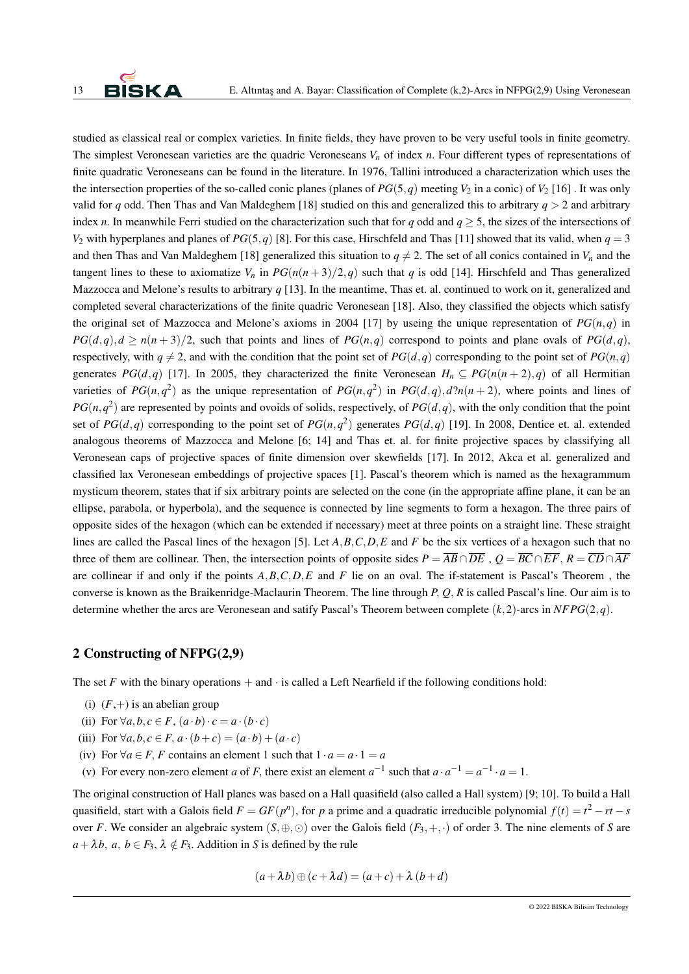studied as classical real or complex varieties. In finite fields, they have proven to be very useful tools in finite geometry. The simplest Veronesean varieties are the quadric Veroneseans  $V_n$  of index *n*. Four different types of representations of finite quadratic Veroneseans can be found in the literature. In 1976, Tallini introduced a characterization which uses the the intersection properties of the so-called conic planes (planes of  $PG(5,q)$  meeting  $V_2$  in a conic) of  $V_2$  [16]. It was only valid for *q* odd. Then Thas and Van Maldeghem [18] studied on this and generalized this to arbitrary  $q > 2$  and arbitrary index *n*. In meanwhile Ferri studied on the characterization such that for *q* odd and  $q \geq 5$ , the sizes of the intersections of *V*<sub>2</sub> with hyperplanes and planes of *PG*(5,*q*) [8]. For this case, Hirschfeld and Thas [11] showed that its valid, when  $q = 3$ and then Thas and Van Maldeghem [18] generalized this situation to  $q \neq 2$ . The set of all conics contained in  $V_n$  and the tangent lines to these to axiomatize  $V_n$  in  $PG(n(n+3)/2, q)$  such that *q* is odd [14]. Hirschfeld and Thas generalized Mazzocca and Melone's results to arbitrary *q* [13]. In the meantime, Thas et. al. continued to work on it, generalized and completed several characterizations of the finite quadric Veronesean [18]. Also, they classified the objects which satisfy the original set of Mazzocca and Melone's axioms in 2004 [17] by useing the unique representation of  $PG(n,q)$  in  $PG(d,q), d \geq n(n+3)/2$ , such that points and lines of  $PG(n,q)$  correspond to points and plane ovals of  $PG(d,q)$ , respectively, with  $q \neq 2$ , and with the condition that the point set of *PG*(*d*,*q*) corresponding to the point set of *PG*(*n*,*q*) generates *PG*(*d*,*q*) [17]. In 2005, they characterized the finite Veronesean  $H_n \nsubseteq PG(n(n+2), q)$  of all Hermitian varieties of  $PG(n,q^2)$  as the unique representation of  $PG(n,q^2)$  in  $PG(d,q), d?n(n+2)$ , where points and lines of  $PG(n,q^2)$  are represented by points and ovoids of solids, respectively, of  $PG(d,q)$ , with the only condition that the point set of  $PG(d, q)$  corresponding to the point set of  $PG(n, q^2)$  generates  $PG(d, q)$  [19]. In 2008, Dentice et. al. extended analogous theorems of Mazzocca and Melone [6; 14] and Thas et. al. for finite projective spaces by classifying all Veronesean caps of projective spaces of finite dimension over skewfields [17]. In 2012, Akca et al. generalized and classified lax Veronesean embeddings of projective spaces [1]. Pascal's theorem which is named as the hexagrammum mysticum theorem, states that if six arbitrary points are selected on the cone (in the appropriate affine plane, it can be an ellipse, parabola, or hyperbola), and the sequence is connected by line segments to form a hexagon. The three pairs of opposite sides of the hexagon (which can be extended if necessary) meet at three points on a straight line. These straight lines are called the Pascal lines of the hexagon [5]. Let *A*,*B*,*C*,*D*,*E* and *F* be the six vertices of a hexagon such that no three of them are collinear. Then, the intersection points of opposite sides  $P = \overline{AB} \cap \overline{DE}$ ,  $Q = \overline{BC} \cap \overline{EF}$ ,  $R = \overline{CD} \cap \overline{AF}$ are collinear if and only if the points *A*,*B*,*C*,*D*,*E* and *F* lie on an oval. The if-statement is Pascal's Theorem , the converse is known as the Braikenridge-Maclaurin Theorem. The line through *P*, *Q*, *R* is called Pascal's line. Our aim is to determine whether the arcs are Veronesean and satify Pascal's Theorem between complete  $(k,2)$ -arcs in  $NFPG(2,q)$ .

#### 2 Constructing of NFPG(2,9)

The set *F* with the binary operations  $+$  and  $\cdot$  is called a Left Nearfield if the following conditions hold:

- (i)  $(F,+)$  is an abelian group
- (ii) For  $\forall a, b, c \in F, (a \cdot b) \cdot c = a \cdot (b \cdot c)$
- (iii) For  $\forall a, b, c \in F$ ,  $a \cdot (b+c) = (a \cdot b) + (a \cdot c)$
- (iv) For  $\forall a \in F$ , *F* contains an element 1 such that  $1 \cdot a = a \cdot 1 = a$
- (v) For every non-zero element *a* of *F*, there exist an element  $a^{-1}$  such that  $a \cdot a^{-1} = a^{-1} \cdot a = 1$ .

The original construction of Hall planes was based on a Hall quasifield (also called a Hall system) [9; 10]. To build a Hall quasifield, start with a Galois field  $F = GF(p^n)$ , for *p* a prime and a quadratic irreducible polynomial  $f(t) = t^2 - rt - s$ over *F*. We consider an algebraic system  $(S, \oplus, \odot)$  over the Galois field  $(F_3, +, \cdot)$  of order 3. The nine elements of *S* are  $a + \lambda b$ ,  $a, b \in F_3$ ,  $\lambda \notin F_3$ . Addition in *S* is defined by the rule

$$
(a + \lambda b) \oplus (c + \lambda d) = (a + c) + \lambda (b + d)
$$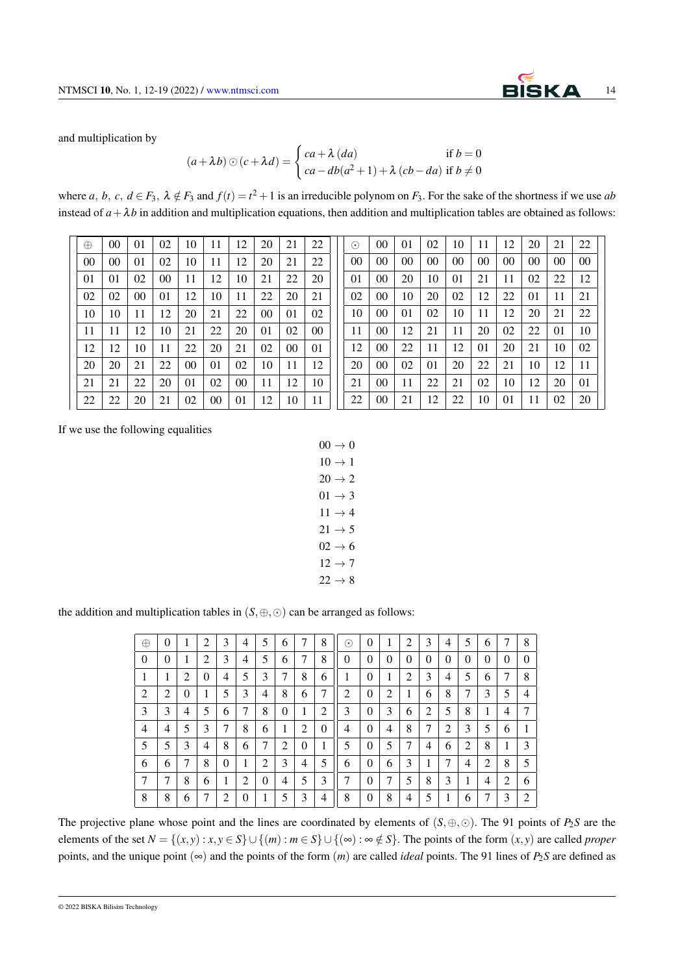

and multiplication by

$$
(a + \lambda b) \odot (c + \lambda d) = \begin{cases} ca + \lambda (da) & \text{if } b = 0 \\ ca - db(a^2 + 1) + \lambda (cb - da) & \text{if } b \neq 0 \end{cases}
$$

where *a*, *b*, *c*,  $d \in F_3$ ,  $\lambda \notin F_3$  and  $f(t) = t^2 + 1$  is an irreducible polynom on  $F_3$ . For the sake of the shortness if we use *ab* instead of  $a + \lambda b$  in addition and multiplication equations, then addition and multiplication tables are obtained as follows:

| 10<br>11<br>20<br>00<br>02<br>12<br>21<br>01<br>22<br>$\oplus$<br>11<br>22<br>00<br>00<br>01<br>10<br>12<br>20<br>21<br>02<br>10<br>12<br>02<br>00<br>11<br>22<br>20<br>01<br>01<br>21<br>12<br>10<br>11<br>02<br>02<br>00<br>22<br>20<br>21<br>01<br>10<br>11<br>10<br>21<br>00<br>01<br>02<br>12<br>20<br>22<br>11<br>11<br>12<br>10<br>22<br>01<br>02<br>21<br>20<br>00<br>12<br>12<br>10<br>11<br>22<br>20<br>21<br>02<br>00<br>01<br>00<br>11<br>12<br>20<br>21<br>22<br>01<br>02<br>10<br>20<br>12<br>10<br>21<br>22<br>01<br>02<br>00<br>20<br>11<br>21<br>11<br>20<br>02<br>00<br>12<br>22<br>22<br>21<br>01<br>10 |  |  |  |  |  |  |
|----------------------------------------------------------------------------------------------------------------------------------------------------------------------------------------------------------------------------------------------------------------------------------------------------------------------------------------------------------------------------------------------------------------------------------------------------------------------------------------------------------------------------------------------------------------------------------------------------------------------------|--|--|--|--|--|--|
|                                                                                                                                                                                                                                                                                                                                                                                                                                                                                                                                                                                                                            |  |  |  |  |  |  |
|                                                                                                                                                                                                                                                                                                                                                                                                                                                                                                                                                                                                                            |  |  |  |  |  |  |
|                                                                                                                                                                                                                                                                                                                                                                                                                                                                                                                                                                                                                            |  |  |  |  |  |  |
|                                                                                                                                                                                                                                                                                                                                                                                                                                                                                                                                                                                                                            |  |  |  |  |  |  |
|                                                                                                                                                                                                                                                                                                                                                                                                                                                                                                                                                                                                                            |  |  |  |  |  |  |
|                                                                                                                                                                                                                                                                                                                                                                                                                                                                                                                                                                                                                            |  |  |  |  |  |  |
|                                                                                                                                                                                                                                                                                                                                                                                                                                                                                                                                                                                                                            |  |  |  |  |  |  |
|                                                                                                                                                                                                                                                                                                                                                                                                                                                                                                                                                                                                                            |  |  |  |  |  |  |
|                                                                                                                                                                                                                                                                                                                                                                                                                                                                                                                                                                                                                            |  |  |  |  |  |  |
|                                                                                                                                                                                                                                                                                                                                                                                                                                                                                                                                                                                                                            |  |  |  |  |  |  |

| $\odot$ | 00 | 01 | 02 | 10 | 11 | 12 | 20 | 21 | 22 |
|---------|----|----|----|----|----|----|----|----|----|
| 00      | 00 | 00 | 00 | 00 | 00 | 00 | 00 | 00 | 00 |
| 01      | 00 | 20 | 10 | 01 | 21 | 11 | 02 | 22 | 12 |
| 02      | 00 | 10 | 20 | 02 | 12 | 22 | 01 | 11 | 21 |
| 10      | 00 | 01 | 02 | 10 | 11 | 12 | 20 | 21 | 22 |
| 11      | 00 | 12 | 21 | 11 | 20 | 02 | 22 | 01 | 10 |
| 12      | 00 | 22 | 11 | 12 | 01 | 20 | 21 | 10 | 02 |
| 20      | 00 | 02 | 01 | 20 | 22 | 21 | 10 | 12 | 11 |
| 21      | 00 | 11 | 22 | 21 | 02 | 10 | 12 | 20 | 01 |
| 22      | 00 | 21 | 12 | 22 | 10 | 01 | 11 | 02 | 20 |

If we use the following equalities

$$
00 \rightarrow 0
$$
  
\n
$$
10 \rightarrow 1
$$
  
\n
$$
20 \rightarrow 2
$$
  
\n
$$
01 \rightarrow 3
$$
  
\n
$$
11 \rightarrow 4
$$
  
\n
$$
21 \rightarrow 5
$$
  
\n
$$
02 \rightarrow 6
$$
  
\n
$$
12 \rightarrow 7
$$
  
\n
$$
22 \rightarrow 8
$$

the addition and multiplication tables in  $(S, \oplus, \odot)$  can be arranged as follows:

| $\oplus$       | 0        | 1 | 2        | 3 | 4 | 5        | 6 | 7        | 8        | ⊙        | 0        |                | $\overline{c}$ | 3        | 4        | 5 | 6              | 7 | 8              |
|----------------|----------|---|----------|---|---|----------|---|----------|----------|----------|----------|----------------|----------------|----------|----------|---|----------------|---|----------------|
| $\theta$       | $\theta$ | 1 | 2        | 3 | 4 | 5        | 6 | 7        | 8        | $\theta$ | $\theta$ | $\overline{0}$ | $\theta$       | $\theta$ | $\theta$ | 0 | $\overline{0}$ | 0 | $\theta$       |
| 1              | 1        | 2 | $\Omega$ | 4 | 5 | 3        | 7 | 8        | 6        | 1        | $\theta$ | 1              | 2              | 3        | 4        | 5 | 6              | 7 | 8              |
| $\overline{2}$ | 2        | 0 |          | 5 | 3 | 4        | 8 | 6        | 7        | 2        | $\theta$ | 2              |                | 6        | 8        | 7 | 3              | 5 | $\overline{4}$ |
| 3              | 3        | 4 | 5        | 6 | 7 | 8        | 0 | л.       | 2        | 3        | 0        | 3              | 6              | 2        | 5        | 8 | л.             | 4 | 7              |
| $\overline{4}$ | 4        | 5 | 3        | 7 | 8 | 6        | 1 | 2        | $\theta$ | 4        | $\theta$ | 4              | 8              | 7        | 2        | 3 | 5              | 6 | 1<br>л         |
| 5              | 5        | 3 | 4        | 8 | 6 | 7        | 2 | $\theta$ | 1        | 5        | $\theta$ | 5              | 7              | 4        | 6        | 2 | 8              |   | 3              |
| 6              | 6        | 7 | 8        | 0 |   | 2        | 3 | 4        | 5        | 6        | $\theta$ | 6              | 3              | T        | 7        | 4 | 2              | 8 | 5              |
| 7              | 7        | 8 | 6        | 1 | 2 | $\theta$ | 4 | 5        | 3        | 7        | $\theta$ | 7              | 5              | 8        | 3        | 1 | 4              | 2 | 6              |
| 8              | 8        | 6 | 7        | 2 | 0 |          | 5 | 3        | 4        | 8        | $\theta$ | 8              | 4              | 5        | 1        | 6 | 7              | 3 | $\overline{2}$ |

The projective plane whose point and the lines are coordinated by elements of (*S*,⊕,⊙). The 91 points of *P*2*S* are the elements of the set  $N = \{(x, y) : x, y \in S\} \cup \{(m) : m \in S\} \cup \{(\infty) : \infty \notin S\}$ . The points of the form  $(x, y)$  are called *proper* points, and the unique point  $(\infty)$  and the points of the form  $(m)$  are called *ideal* points. The 91 lines of  $P_2S$  are defined as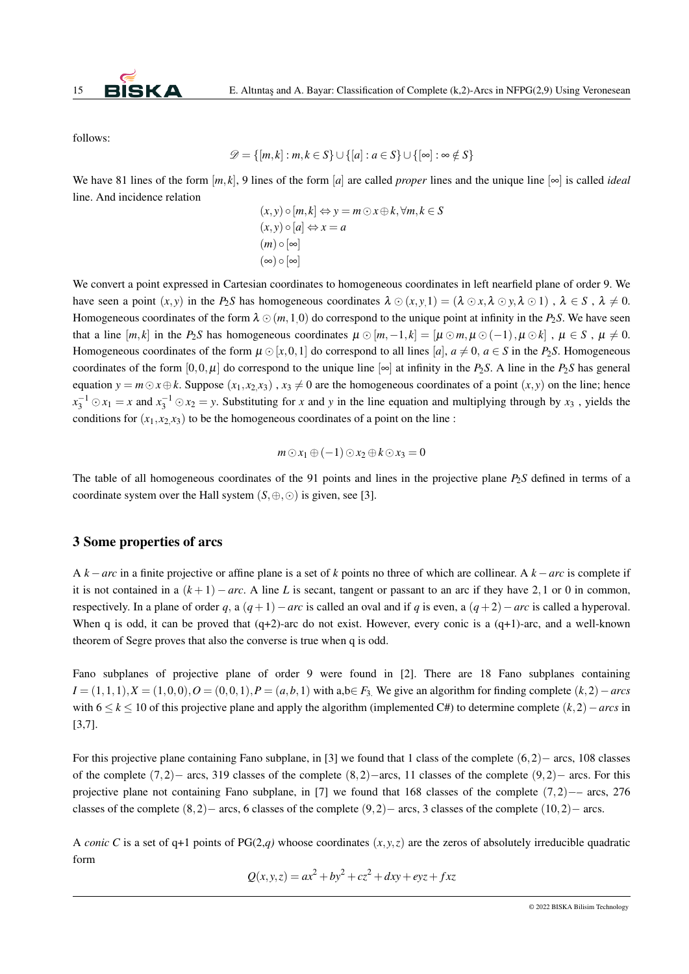

follows:

$$
\mathscr{D} = \{ [m,k] : m, k \in S \} \cup \{ [a] : a \in S \} \cup \{ [\infty] : \infty \notin S \}
$$

We have 81 lines of the form  $[m, k]$ , 9 lines of the form  $[a]$  are called *proper* lines and the unique line  $[\infty]$  is called *ideal* line. And incidence relation

$$
(x,y) \circ [m,k] \Leftrightarrow y = m \odot x \oplus k, \forall m, k \in S
$$
  

$$
(x,y) \circ [a] \Leftrightarrow x = a
$$
  

$$
(m) \circ [\infty]
$$
  

$$
(\infty) \circ [\infty]
$$

We convert a point expressed in Cartesian coordinates to homogeneous coordinates in left nearfield plane of order 9. We have seen a point  $(x, y)$  in the *P*<sub>2</sub>*S* has homogeneous coordinates  $\lambda \odot (x, y, 1) = (\lambda \odot x, \lambda \odot y, \lambda \odot 1)$ ,  $\lambda \in S$ ,  $\lambda \neq 0$ . Homogeneous coordinates of the form  $\lambda \odot (m,1,0)$  do correspond to the unique point at infinity in the *P*<sub>2</sub>*S*. We have seen that a line  $[m, k]$  in the *P*<sub>2</sub>*S* has homogeneous coordinates  $\mu \odot [m, -1, k] = [\mu \odot m, \mu \odot (-1), \mu \odot k]$ ,  $\mu \in S$ ,  $\mu \neq 0$ . Homogeneous coordinates of the form  $\mu \odot [x,0,1]$  do correspond to all lines [*a*],  $a \neq 0$ ,  $a \in S$  in the *P*<sub>2</sub>*S*. Homogeneous coordinates of the form  $[0,0,\mu]$  do correspond to the unique line  $[\infty]$  at infinity in the *P*<sub>2</sub>*S*. A line in the *P*<sub>2</sub>*S* has general equation  $y = m \odot x \oplus k$ . Suppose  $(x_1, x_2, x_3)$ ,  $x_3 \neq 0$  are the homogeneous coordinates of a point  $(x, y)$  on the line; hence  $x_3^{-1}$   $\odot$   $x_1 = x$  and  $x_3^{-1}$   $\odot$   $x_2 = y$ . Substituting for *x* and *y* in the line equation and multiplying through by *x*<sub>3</sub>, yields the conditions for  $(x_1, x_2, x_3)$  to be the homogeneous coordinates of a point on the line :

$$
m \odot x_1 \oplus (-1) \odot x_2 \oplus k \odot x_3 = 0
$$

The table of all homogeneous coordinates of the 91 points and lines in the projective plane *P*2*S* defined in terms of a coordinate system over the Hall system  $(S, \oplus, \odot)$  is given, see [3].

#### 3 Some properties of arcs

A *k* −*arc* in a finite projective or affine plane is a set of *k* points no three of which are collinear. A *k* −*arc* is complete if it is not contained in a  $(k+1) - arc$ . A line L is secant, tangent or passant to an arc if they have 2,1 or 0 in common, respectively. In a plane of order *q*, a  $(q+1)$ −*arc* is called an oval and if *q* is even, a  $(q+2)$ −*arc* is called a hyperoval. When q is odd, it can be proved that  $(q+2)$ -arc do not exist. However, every conic is a  $(q+1)$ -arc, and a well-known theorem of Segre proves that also the converse is true when q is odd.

Fano subplanes of projective plane of order 9 were found in [2]. There are 18 Fano subplanes containing *I* =  $(1,1,1)$ ,*X* =  $(1,0,0)$ , *O* =  $(0,0,1)$ , *P* =  $(a,b,1)$  with a,b∈ *F*<sub>3</sub>. We give an algorithm for finding complete  $(k,2)$  − *arcs* with 6 ≤ *k* ≤ 10 of this projective plane and apply the algorithm (implemented C#) to determine complete (*k*,2)−*arcs* in [3,7].

For this projective plane containing Fano subplane, in [3] we found that 1 class of the complete (6,2)− arcs, 108 classes of the complete  $(7,2)$ − arcs, 319 classes of the complete  $(8,2)$ −arcs, 11 classes of the complete  $(9,2)$ − arcs. For this projective plane not containing Fano subplane, in [7] we found that 168 classes of the complete (7,2)−– arcs, 276 classes of the complete (8,2)− arcs, 6 classes of the complete (9,2)− arcs, 3 classes of the complete (10,2)− arcs.

A *conic* C is a set of q+1 points of PG(2,*q*) whoose coordinates  $(x, y, z)$  are the zeros of absolutely irreducible quadratic form

$$
Q(x, y, z) = ax^2 + by^2 + cz^2 + dxy + eyz + fxz
$$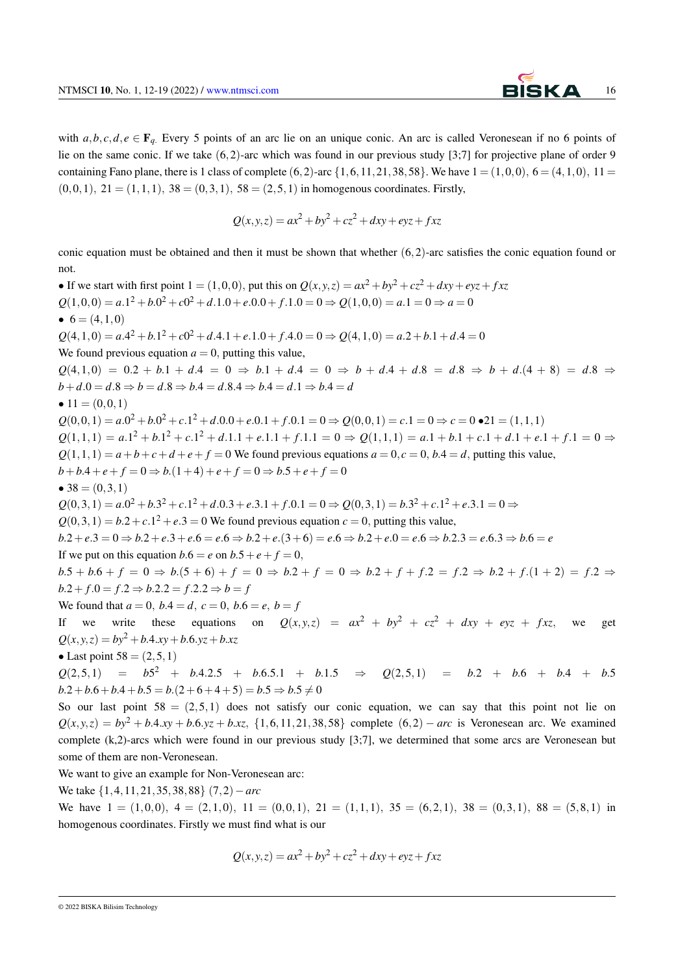with  $a, b, c, d, e \in \mathbf{F}_q$ . Every 5 points of an arc lie on an unique conic. An arc is called Veronesean if no 6 points of lie on the same conic. If we take (6,2)-arc which was found in our previous study [3;7] for projective plane of order 9 containing Fano plane, there is 1 class of complete  $(6,2)$ -arc  $\{1,6,11,21,38,58\}$ . We have  $1 = (1,0,0)$ ,  $6 = (4,1,0)$ ,  $11 =$  $(0,0,1), 21 = (1,1,1), 38 = (0,3,1), 58 = (2,5,1)$  in homogenous coordinates. Firstly,

$$
Q(x, y, z) = ax^2 + by^2 + cz^2 + dxy + eyz + fxz
$$

conic equation must be obtained and then it must be shown that whether  $(6,2)$ -arc satisfies the conic equation found or not.

• If we start with first point  $1 = (1,0,0)$ , put this on  $Q(x, y, z) = ax^2 + by^2 + cz^2 + dxy + eyz + fxz$  $Q(1,0,0) = a.1^2 + b.0^2 + c0^2 + d.1.0 + e.0.0 + f.1.0 = 0 \Rightarrow Q(1,0,0) = a.1 = 0 \Rightarrow a = 0$ •  $6 = (4,1,0)$  $Q(4,1,0) = aA^2 + bA^2 + cO^2 + dAA + eAA + eA + dA = 0 \Rightarrow Q(4,1,0) = aA^2 + bA + dA = 0$ We found previous equation  $a = 0$ , putting this value, *Q*(4,1,0) = 0.2 + *b*.1 + *d*.4 = 0 ⇒ *b*.1 + *d*.4 = 0 ⇒ *b* + *d*.4 + *d*.8 = *d*.8 ⇒ *b* + *d*.(4 + 8) = *d*.8 ⇒  $b + d.0 = d.8 \Rightarrow b = d.8 \Rightarrow b.4 = d.8.4 \Rightarrow b.4 = d.1 \Rightarrow b.4 = d$ •  $11 = (0, 0, 1)$  $Q(0,0,1) = a.0^2 + b.0^2 + c.1^2 + d.0.0 + e.0.1 + f.0.1 = 0 \Rightarrow Q(0,0,1) = c.1 = 0 \Rightarrow c = 0 \bullet 21 = (1,1,1)$  $Q(1,1,1) = a.1^2 + b.1^2 + c.1^2 + d.1.1 + e.1.1 + f.1.1 = 0 \Rightarrow Q(1,1,1) = a.1 + b.1 + c.1 + d.1 + e.1 + f.1 = 0 \Rightarrow$  $Q(1,1,1) = a + b + c + d + e + f = 0$  We found previous equations  $a = 0, c = 0, b, 4 = d$ , putting this value,  $b+b.4+e+f=0 \Rightarrow b.(1+4)+e+f=0 \Rightarrow b.5+e+f=0$ •  $38 = (0,3,1)$  $Q(0,3,1) = a.0^2 + b.3^2 + c.1^2 + d.0.3 + e.3.1 + f.0.1 = 0 \Rightarrow Q(0,3,1) = b.3^2 + c.1^2 + e.3.1 = 0 \Rightarrow$  $Q(0,3,1) = b.2 + c.1<sup>2</sup> + e.3 = 0$  We found previous equation  $c = 0$ , putting this value,  $b.2 + e.3 = 0 \Rightarrow b.2 + e.3 + e.6 = e.6 \Rightarrow b.2 + e. (3 + 6) = e.6 \Rightarrow b.2 + e.0 = e.6 \Rightarrow b.2.3 = e.6.3 \Rightarrow b.6 = e$ If we put on this equation  $b.6 = e$  on  $b.5 + e + f = 0$ ,  $b.5 + b.6 + f = 0 \Rightarrow b.(5 + 6) + f = 0 \Rightarrow b.2 + f = 0 \Rightarrow b.2 + f + f.2 = f.2 \Rightarrow b.2 + f. (1 + 2) = f.2 \Rightarrow$  $b.2 + f.0 = f.2 \Rightarrow b.2.2 = f.2.2 \Rightarrow b = f$ We found that  $a = 0$ ,  $b.4 = d$ ,  $c = 0$ ,  $b.6 = e$ ,  $b = f$ If we write these equations on  $Q(x, y, z) = ax^2 + by^2 + cz^2 + dxy + eyz + fxz$ , we get  $Q(x, y, z) = by^2 + b \cdot 4 \cdot xy + b \cdot 6 \cdot yz + b \cdot xz$ • Last point  $58 = (2,5,1)$  $Q(2,5,1)$  =  $b5^2$  + *b*.4.2.5 + *b*.6.5.1 + *b*.1.5  $\Rightarrow$   $Q(2,5,1)$  = *b*.2 + *b*.6 + *b*.4 + *b*.5  $b.2 + b.6 + b.4 + b.5 = b.(2 + 6 + 4 + 5) = b.5 \Rightarrow b.5 \neq 0$ So our last point  $58 = (2,5,1)$  does not satisfy our conic equation, we can say that this point not lie on

 $Q(x, y, z) = by^2 + b \cdot 4 \cdot xy + b \cdot 6 \cdot yz + b \cdot xz$ , {1,6,11,21,38,58} complete (6,2) – *arc* is Veronesean arc. We examined complete (k,2)-arcs which were found in our previous study [3;7], we determined that some arcs are Veronesean but some of them are non-Veronesean.

We want to give an example for Non-Veronesean arc:

We take {1,4,11,21,35,38,88} (7,2)−*arc*

We have  $1 = (1,0,0), 4 = (2,1,0), 11 = (0,0,1), 21 = (1,1,1), 35 = (6,2,1), 38 = (0,3,1), 88 = (5,8,1)$  in homogenous coordinates. Firstly we must find what is our

$$
Q(x, y, z) = ax^2 + by^2 + cz^2 + dxy + eyz + fxz
$$

<sup>© 2022</sup> BISKA Bilisim Technology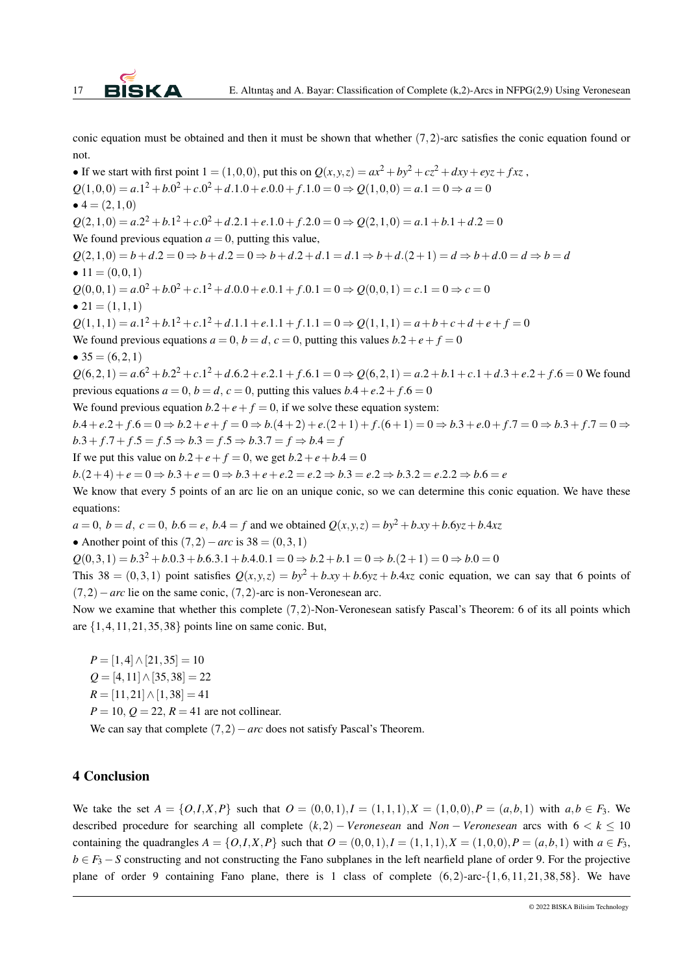conic equation must be obtained and then it must be shown that whether  $(7,2)$ -arc satisfies the conic equation found or not.

• If we start with first point  $1 = (1,0,0)$ , put this on  $Q(x, y, z) = ax^2 + by^2 + cz^2 + dxy + eyz + fxz$ ,  $Q(1,0,0) = a.1^2 + b.0^2 + c.0^2 + d.1.0 + e.0.0 + f.1.0 = 0 \Rightarrow Q(1,0,0) = a.1 = 0 \Rightarrow a = 0$  $• 4 = (2,1,0)$  $Q(2,1,0) = a.2^2 + b.1^2 + c.0^2 + d.2.1 + e.1.0 + f.2.0 = 0 \Rightarrow Q(2,1,0) = a.1 + b.1 + d.2 = 0$ We found previous equation  $a = 0$ , putting this value,  $Q(2,1,0) = b + d$ .2 = 0  $\Rightarrow b + d$ .2 = 0  $\Rightarrow b + d$ .2 + d,1 = d,1  $\Rightarrow b + d$ .(2 + 1) = d  $\Rightarrow b + d$ .0 = d  $\Rightarrow b = d$ •  $11 = (0, 0, 1)$  $Q(0,0,1) = a.0^2 + b.0^2 + c.1^2 + d.0.0 + e.0.1 + f.0.1 = 0 \Rightarrow Q(0,0,1) = c.1 = 0 \Rightarrow c = 0$ •  $21 = (1, 1, 1)$  $Q(1,1,1) = a.1^2 + b.1^2 + c.1^2 + d.1.1 + e.1.1 + f.1.1 = 0 \Rightarrow Q(1,1,1) = a + b + c + d + e + f = 0$ We found previous equations  $a = 0$ ,  $b = d$ ,  $c = 0$ , putting this values  $b \cdot 2 + e + f = 0$ •  $35 = (6, 2, 1)$  $Q(6,2,1) = a.6^2 + b.2^2 + c.1^2 + d.6.2 + e.2.1 + f.6.1 = 0 \Rightarrow Q(6,2,1) = a.2 + b.1 + c.1 + d.3 + e.2 + f.6 = 0$  We found previous equations  $a = 0$ ,  $b = d$ ,  $c = 0$ , putting this values  $b.4 + e.2 + f.6 = 0$ We found previous equation  $b.2 + e + f = 0$ , if we solve these equation system:  $b.4 + e.2 + f.6 = 0 \Rightarrow b.2 + e + f = 0 \Rightarrow b.(4+2) + e.(2+1) + f.6 = 0 \Rightarrow b.3 + e.0 + f.7 = 0 \Rightarrow b.3 + f.7 = 0 \Rightarrow$  $b \cdot 3 + f \cdot 7 + f \cdot 5 = f \cdot 5 \Rightarrow b \cdot 3 = f \cdot 5 \Rightarrow b \cdot 3 = f \Rightarrow b \cdot 4 = f$ If we put this value on  $b.2 + e + f = 0$ , we get  $b.2 + e + b.4 = 0$  $b.(2+4) + e = 0 \Rightarrow b.3 + e = 0 \Rightarrow b.3 + e + e.2 = e.2 \Rightarrow b.3 = e.2 \Rightarrow b.3.2 = e.2.2 \Rightarrow b.6 = e$ We know that every 5 points of an arc lie on an unique conic, so we can determine this conic equation. We have these equations:  $a = 0, b = d, c = 0, b.6 = e, b.4 = f$  and we obtained  $Q(x, y, z) = by^2 + b.xy + b.6yz + b.4xz$ • Another point of this  $(7,2)-arc$  is  $38 = (0,3,1)$  $Q(0,3,1) = b \cdot 3^2 + b \cdot 0 \cdot 3 + b \cdot 6 \cdot 3 \cdot 1 + b \cdot 4 \cdot 0 \cdot 1 = 0 \Rightarrow b \cdot 2 + b \cdot 1 = 0 \Rightarrow b \cdot (2+1) = 0 \Rightarrow b \cdot 0 = 0$ 

This 38 =  $(0,3,1)$  point satisfies  $Q(x, y, z) = by^2 + bxy + b6yz + b4xz$  conic equation, we can say that 6 points of  $(7,2)-arc$  lie on the same conic,  $(7,2)$ -arc is non-Veronesean arc.

Now we examine that whether this complete (7,2)-Non-Veronesean satisfy Pascal's Theorem: 6 of its all points which are  $\{1,4,11,21,35,38\}$  points line on same conic. But,

 $P = [1,4] \wedge [21,35] = 10$ *Q* = [4,11]∧[35,38] = 22  $R = [11, 21] \wedge [1, 38] = 41$  $P = 10, Q = 22, R = 41$  are not collinear.

We can say that complete (7,2)−*arc* does not satisfy Pascal's Theorem.

#### 4 Conclusion

We take the set  $A = \{O, I, X, P\}$  such that  $O = (0, 0, 1), I = (1, 1, 1), X = (1, 0, 0), P = (a, b, 1)$  with  $a, b \in F_3$ . We described procedure for searching all complete  $(k,2)$  – *Veronesean* and *Non* – *Veronesean* arcs with  $6 < k \leq 10$ containing the quadrangles  $A = \{O, I, X, P\}$  such that  $O = (0, 0, 1), I = (1, 1, 1), X = (1, 0, 0), P = (a, b, 1)$  with  $a \in F_3$ , *b* ∈ *F*<sub>3</sub> − *S* constructing and not constructing the Fano subplanes in the left nearfield plane of order 9. For the projective plane of order 9 containing Fano plane, there is 1 class of complete  $(6,2)$ -arc- $\{1,6,11,21,38,58\}$ . We have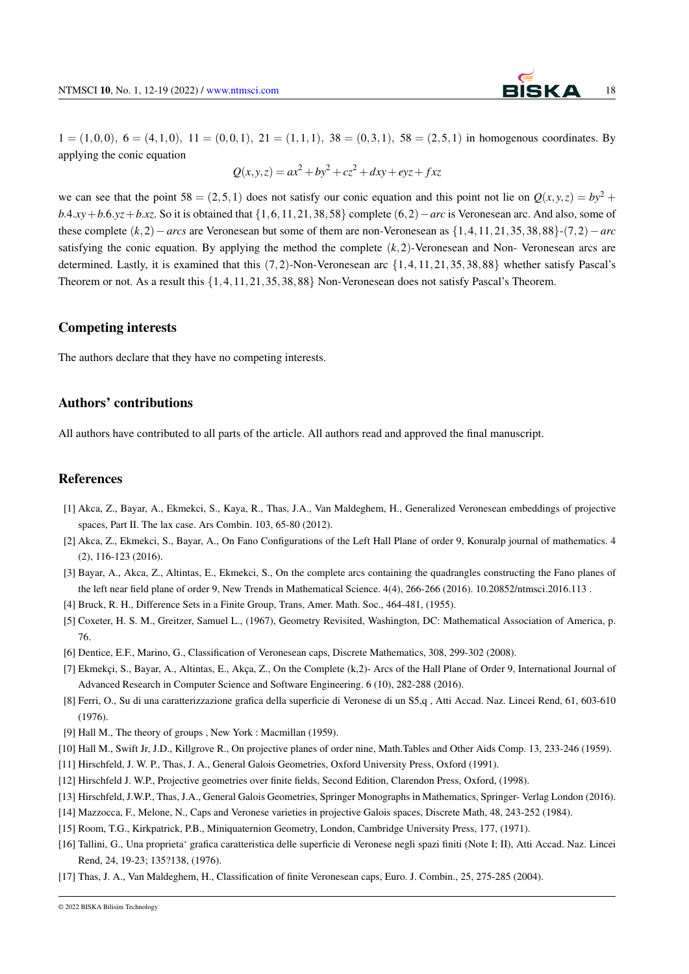

 $1 = (1,0,0), 6 = (4,1,0), 11 = (0,0,1), 21 = (1,1,1), 38 = (0,3,1), 58 = (2,5,1)$  in homogenous coordinates. By applying the conic equation

 $Q(x, y, z) = ax^2 + by^2 + cz^2 + dxy + eyz + fxz$ 

we can see that the point  $58 = (2,5,1)$  does not satisfy our conic equation and this point not lie on  $O(x, y, z) = by^2 +$ *b*.4.*xy* + *b*.6.*yz* + *b*.*xz*. So it is obtained that {1,6,11,21,38,58} complete (6,2) − *arc* is Veronesean arc. And also, some of these complete (*k*,2)−*arcs* are Veronesean but some of them are non-Veronesean as {1,4,11,21,35,38,88}-(7,2)−*arc* satisfying the conic equation. By applying the method the complete  $(k,2)$ -Veronesean and Non- Veronesean arcs are determined. Lastly, it is examined that this (7,2)-Non-Veronesean arc {1,4,11,21,35,38,88} whether satisfy Pascal's Theorem or not. As a result this {1,4,11,21,35,38,88} Non-Veronesean does not satisfy Pascal's Theorem.

## Competing interests

The authors declare that they have no competing interests.

## Authors' contributions

All authors have contributed to all parts of the article. All authors read and approved the final manuscript.

### References

- [1] Akca, Z., Bayar, A., Ekmekci, S., Kaya, R., Thas, J.A., Van Maldeghem, H., Generalized Veronesean embeddings of projective spaces, Part II. The lax case. Ars Combin. 103, 65-80 (2012).
- [2] Akca, Z., Ekmekci, S., Bayar, A., On Fano Configurations of the Left Hall Plane of order 9, Konuralp journal of mathematics. 4 (2), 116-123 (2016).
- [3] Bayar, A., Akca, Z., Altintas, E., Ekmekci, S., On the complete arcs containing the quadrangles constructing the Fano planes of the left near field plane of order 9, New Trends in Mathematical Science. 4(4), 266-266 (2016). 10.20852/ntmsci.2016.113 .
- [4] Bruck, R. H., Difference Sets in a Finite Group, Trans, Amer. Math. Soc., 464-481, (1955).
- [5] Coxeter, H. S. M., Greitzer, Samuel L., (1967), Geometry Revisited, Washington, DC: Mathematical Association of America, p. 76.
- [6] Dentice, E.F., Marino, G., Classification of Veronesean caps, Discrete Mathematics, 308, 299-302 (2008).
- [7] Ekmekçi, S., Bayar, A., Altintas, E., Akça, Z., On the Complete (k,2)- Arcs of the Hall Plane of Order 9, International Journal of Advanced Research in Computer Science and Software Engineering. 6 (10), 282-288 (2016).
- [8] Ferri, O., Su di una caratterizzazione grafica della superficie di Veronese di un S5,q , Atti Accad. Naz. Lincei Rend, 61, 603-610 (1976).
- [9] Hall M., The theory of groups , New York : Macmillan (1959).
- [10] Hall M., Swift Jr, J.D., Killgrove R., On projective planes of order nine, Math.Tables and Other Aids Comp. 13, 233-246 (1959).
- [11] Hirschfeld, J. W. P., Thas, J. A., General Galois Geometries, Oxford University Press, Oxford (1991).
- [12] Hirschfeld J. W.P., Projective geometries over finite fields, Second Edition, Clarendon Press, Oxford, (1998).
- [13] Hirschfeld, J.W.P., Thas, J.A., General Galois Geometries, Springer Monographs in Mathematics, Springer- Verlag London (2016).
- [14] Mazzocca, F., Melone, N., Caps and Veronese varieties in projective Galois spaces, Discrete Math, 48, 243-252 (1984).
- [15] Room, T.G., Kirkpatrick, P.B., Miniquaternion Geometry, London, Cambridge University Press, 177, (1971).
- [16] Tallini, G., Una proprieta' grafica caratteristica delle superficie di Veronese negli spazi finiti (Note I; II), Atti Accad. Naz. Lincei Rend, 24, 19-23; 135?138, (1976).
- [17] Thas, J. A., Van Maldeghem, H., Classification of finite Veronesean caps, Euro. J. Combin., 25, 275-285 (2004).

<sup>© 2022</sup> BISKA Bilisim Technology